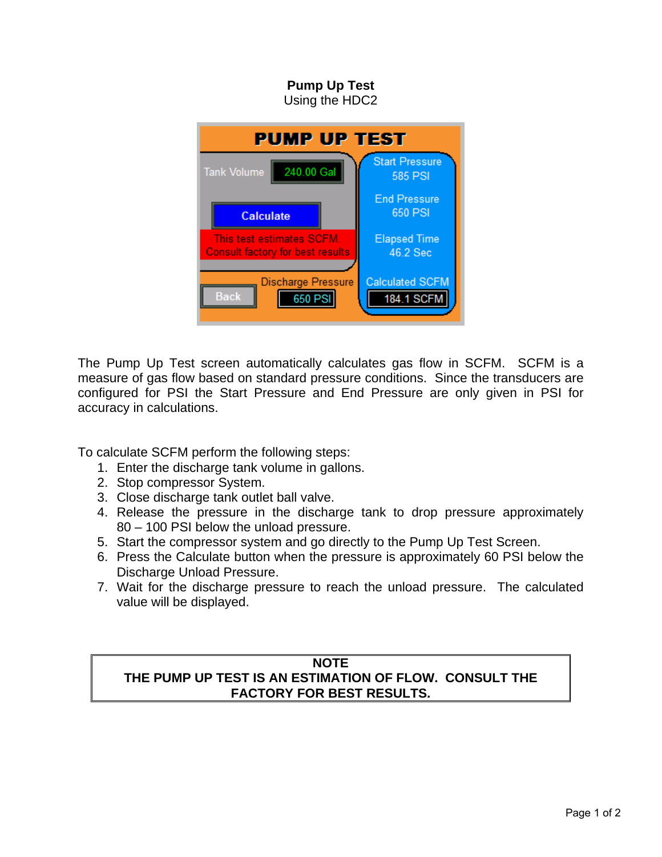## **Pump Up Test**  Using the HDC2 **PUMP UP TEST Start Pressure** Tank Volume 240.00 Gal **585 PSI** End Pressure 650 PSI Calculate This test estimates SCFM. **Elapsed Time** Consult factory for best results 46.2 Sec **Calculated SCFM Discharge Pressure Back** 650 PSI 184.1 SCFM

The Pump Up Test screen automatically calculates gas flow in SCFM. SCFM is a measure of gas flow based on standard pressure conditions. Since the transducers are configured for PSI the Start Pressure and End Pressure are only given in PSI for accuracy in calculations.

To calculate SCFM perform the following steps:

- 1. Enter the discharge tank volume in gallons.
- 2. Stop compressor System.
- 3. Close discharge tank outlet ball valve.
- 4. Release the pressure in the discharge tank to drop pressure approximately 80 – 100 PSI below the unload pressure.
- 5. Start the compressor system and go directly to the Pump Up Test Screen.
- 6. Press the Calculate button when the pressure is approximately 60 PSI below the Discharge Unload Pressure.
- 7. Wait for the discharge pressure to reach the unload pressure. The calculated value will be displayed.

## **NOTE THE PUMP UP TEST IS AN ESTIMATION OF FLOW. CONSULT THE FACTORY FOR BEST RESULTS.**